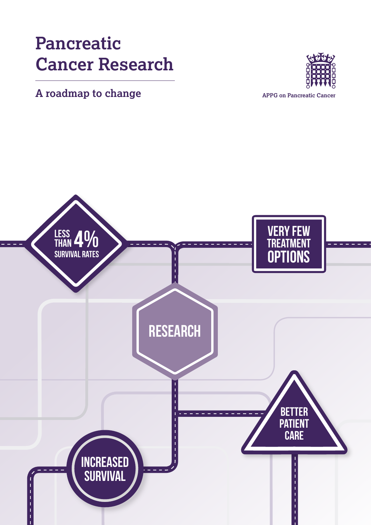# **Pancreatic Cancer Research**

# **A roadmap to change APPG on Pancreatic Cancer**



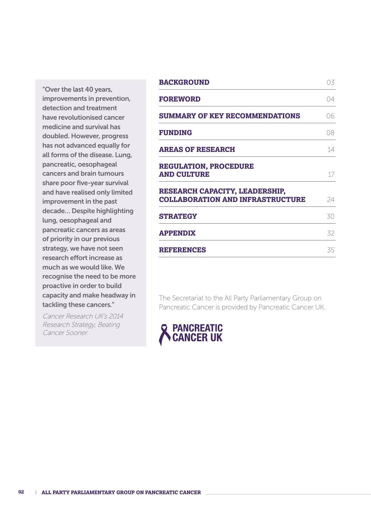"Over the last 40 years, improvements in prevention, detection and treatment have revolutionised cancer medicine and survival has doubled. However, progress has not advanced equally for all forms of the disease. Lung, pancreatic, oesophageal cancers and brain tumours share poor five-year survival and have realised only limited improvement in the past decade… Despite highlighting lung, oesophageal and pancreatic cancers as areas of priority in our previous strategy, we have not seen research effort increase as much as we would like. We recognise the need to be more proactive in order to build capacity and make headway in tackling these cancers."

Cancer Research UK's 2014 Research Strategy, Beating Cancer Sooner.

| <b>BACKGROUND</b>                                                                | 03 |
|----------------------------------------------------------------------------------|----|
| <b>FOREWORD</b>                                                                  | 04 |
| <b>SUMMARY OF KEY RECOMMENDATIONS</b>                                            | 06 |
| <b>FUNDING</b>                                                                   | 08 |
| <b>AREAS OF RESEARCH</b>                                                         | 14 |
| <b>REGULATION, PROCEDURE</b><br><b>AND CULTURE</b>                               | 17 |
| <b>RESEARCH CAPACITY, LEADERSHIP,</b><br><b>COLLABORATION AND INFRASTRUCTURE</b> | 24 |
| <b>STRATEGY</b>                                                                  | 30 |
| <b>APPENDIX</b>                                                                  | 32 |
| <b>REFERENCES</b>                                                                | 35 |
|                                                                                  |    |

The Secretariat to the All Party Parliamentary Group on Pancreatic Cancer is provided by Pancreatic Cancer UK.

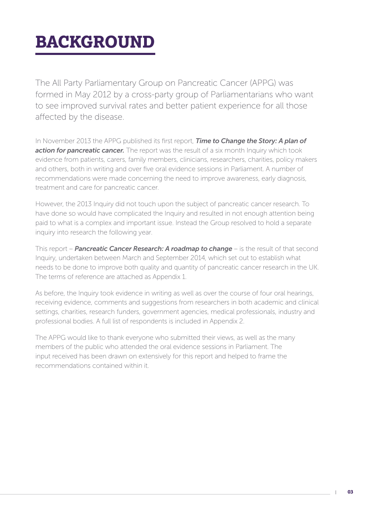# **BACKGROUND**

The All Party Parliamentary Group on Pancreatic Cancer (APPG) was formed in May 2012 by a cross-party group of Parliamentarians who want to see improved survival rates and better patient experience for all those affected by the disease.

In November 2013 the APPG published its first report, *Time to Change the Story: A plan of*  **action for pancreatic cancer.** The report was the result of a six month Inquiry which took evidence from patients, carers, family members, clinicians, researchers, charities, policy makers and others, both in writing and over five oral evidence sessions in Parliament. A number of recommendations were made concerning the need to improve awareness, early diagnosis, treatment and care for pancreatic cancer.

However, the 2013 Inquiry did not touch upon the subject of pancreatic cancer research. To have done so would have complicated the Inquiry and resulted in not enough attention being paid to what is a complex and important issue. Instead the Group resolved to hold a separate inquiry into research the following year.

This report – *Pancreatic Cancer Research: A roadmap to change* – is the result of that second Inquiry, undertaken between March and September 2014, which set out to establish what needs to be done to improve both quality and quantity of pancreatic cancer research in the UK. The terms of reference are attached as Appendix 1.

As before, the Inquiry took evidence in writing as well as over the course of four oral hearings, receiving evidence, comments and suggestions from researchers in both academic and clinical settings, charities, research funders, government agencies, medical professionals, industry and professional bodies. A full list of respondents is included in Appendix 2.

The APPG would like to thank everyone who submitted their views, as well as the many members of the public who attended the oral evidence sessions in Parliament. The input received has been drawn on extensively for this report and helped to frame the recommendations contained within it.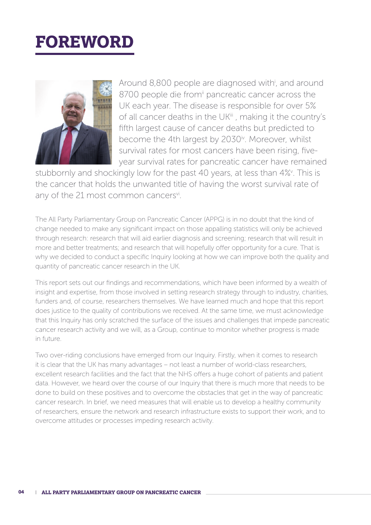# **FOREWORD**



Around 8,800 people are diagnosed with<sup>i</sup>, and around 8700 people die from<sup>ii</sup> pancreatic cancer across the UK each year. The disease is responsible for over 5% of all cancer deaths in the UK<sup>iii</sup>, making it the country's fifth largest cause of cancer deaths but predicted to become the 4th largest by 2030<sup>iv</sup>. Moreover, whilst survival rates for most cancers have been rising, fiveyear survival rates for pancreatic cancer have remained

stubbornly and shockingly low for the past 40 years, at less than 4%<sup>v</sup>. This is the cancer that holds the unwanted title of having the worst survival rate of any of the 21 most common cancers<sup>vi</sup>.

The All Party Parliamentary Group on Pancreatic Cancer (APPG) is in no doubt that the kind of change needed to make any significant impact on those appalling statistics will only be achieved through research: research that will aid earlier diagnosis and screening; research that will result in more and better treatments; and research that will hopefully offer opportunity for a cure. That is why we decided to conduct a specific Inquiry looking at how we can improve both the quality and quantity of pancreatic cancer research in the UK.

This report sets out our findings and recommendations, which have been informed by a wealth of insight and expertise, from those involved in setting research strategy through to industry, charities, funders and, of course, researchers themselves. We have learned much and hope that this report does justice to the quality of contributions we received. At the same time, we must acknowledge that this Inquiry has only scratched the surface of the issues and challenges that impede pancreatic cancer research activity and we will, as a Group, continue to monitor whether progress is made in future.

Two over-riding conclusions have emerged from our Inquiry. Firstly, when it comes to research it is clear that the UK has many advantages – not least a number of world-class researchers, excellent research facilities and the fact that the NHS offers a huge cohort of patients and patient data. However, we heard over the course of our Inquiry that there is much more that needs to be done to build on these positives and to overcome the obstacles that get in the way of pancreatic cancer research. In brief, we need measures that will enable us to develop a healthy community of researchers, ensure the network and research infrastructure exists to support their work, and to overcome attitudes or processes impeding research activity.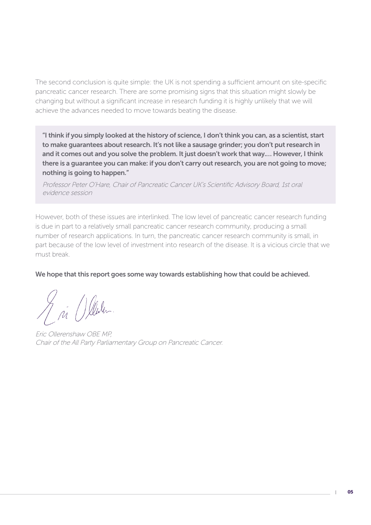The second conclusion is quite simple: the UK is not spending a sufficient amount on site-specific pancreatic cancer research. There are some promising signs that this situation might slowly be changing but without a significant increase in research funding it is highly unlikely that we will achieve the advances needed to move towards beating the disease.

"I think if you simply looked at the history of science, I don't think you can, as a scientist, start to make guarantees about research. It's not like a sausage grinder; you don't put research in and it comes out and you solve the problem. It just doesn't work that way.… However, I think there is a guarantee you can make: if you don't carry out research, you are not going to move; nothing is going to happen."

Professor Peter O'Hare, Chair of Pancreatic Cancer UK's Scientific Advisory Board, 1st oral evidence session

However, both of these issues are interlinked. The low level of pancreatic cancer research funding is due in part to a relatively small pancreatic cancer research community, producing a small number of research applications. In turn, the pancreatic cancer research community is small, in part because of the low level of investment into research of the disease. It is a vicious circle that we must break.

#### We hope that this report goes some way towards establishing how that could be achieved.

A ji () leden

Eric Ollerenshaw OBE MP, Chair of the All Party Parliamentary Group on Pancreatic Cancer.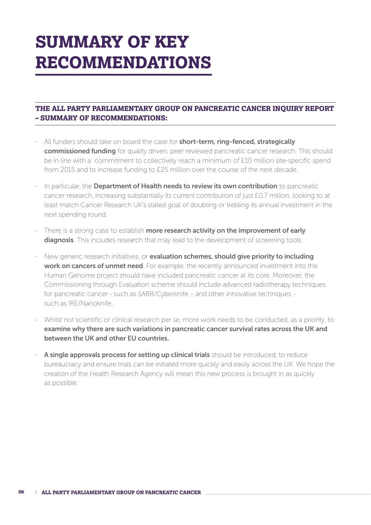# **SUMMARY OF KEY RECOMMENDATIONS**

## **THE ALL PARTY PARLIAMENTARY GROUP ON PANCREATIC CANCER INQUIRY REPORT – SUMMARY OF RECOMMENDATIONS:**

- All funders should take on board the case for **short-term, ring-fenced, strategically** commissioned funding for quality driven, peer reviewed pancreatic cancer research. This should be in line with a commitment to collectively reach a minimum of £10 million site-specific spend from 2015 and to increase funding to £25 million over the course of the next decade.
- In particular, the **Department of Health needs to review its own contribution** to pancreatic cancer research, increasing substantially its current contribution of just £0.7 million, looking to at least match Cancer Research UK's stated goal of doubling or trebling its annual investment in the next spending round.
- There is a strong case to establish more research activity on the improvement of early diagnosis. This includes research that may lead to the development of screening tools.
- New generic research initiatives, or evaluation schemes, should give priority to including work on cancers of unmet need. For example, the recently announced investment into the Human Genome project should have included pancreatic cancer at its core. Moreover, the Commissioning through Evaluation scheme should include advanced radiotherapy techniques for pancreatic cancer - such as SABR/Cyberknife – and other innovative techniques such as IRE/Nanoknife.
- Whilst not scientific or clinical research per se, more work needs to be conducted, as a priority, to examine why there are such variations in pancreatic cancer survival rates across the UK and between the UK and other EU countries.
- A single approvals process for setting up clinical trials should be introduced, to reduce bureaucracy and ensure trials can be initiated more quickly and easily across the UK. We hope the creation of the Health Research Agency will mean this new process is brought in as quickly as possible.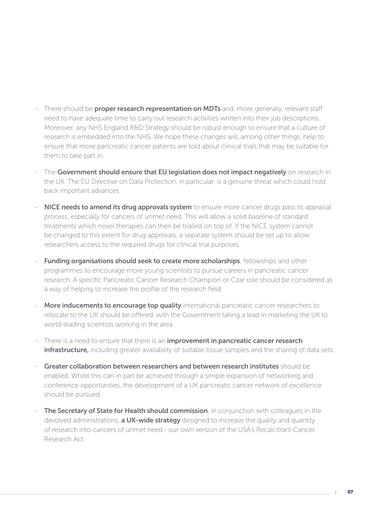- There should be **proper research representation on MDTs** and, more generally, relevant staff need to have adequate time to carry out research activities written into their job descriptions. Moreover, any NHS England R&D Strategy should be robust enough to ensure that a culture of research is embedded into the NHS. We hope these changes will, among other things, help to ensure that more pancreatic cancer patients are told about clinical trials that may be suitable for them to take part in.
- The Government should ensure that EU legislation does not impact negatively on research in the UK. The EU Directive on Data Protection, in particular, is a genuine threat which could hold back important advances.
- NICE needs to amend its drug approvals system to ensure more cancer drugs pass its appraisal process, especially for cancers of unmet need. This will allow a solid baseline of standard treatments which novel therapies can then be trialled on top of. If the NICE system cannot be changed to this extent for drug approvals, a separate system should be set up to allow researchers access to the required drugs for clinical trial purposes.
- Funding organisations should seek to create more scholarships, fellowships and other programmes to encourage more young scientists to pursue careers in pancreatic cancer research. A specific Pancreatic Cancer Research Champion or Czar role should be considered as a way of helping to increase the profile of the research field.
- More inducements to encourage top quality international pancreatic cancer researchers to relocate to the UK should be offered, with the Government taking a lead in marketing the UK to world-leading scientists working in the area.
- There is a need to ensure that there is an **improvement in pancreatic cancer research** infrastructure, including greater availability of suitable tissue samples and the sharing of data sets.
- Greater collaboration between researchers and between research institutes should be enabled. Whilst this can in part be achieved through a simple expansion of networking and conference opportunities, the development of a UK pancreatic cancer network of excellence should be pursued.
- **The Secretary of State for Health should commission**, in conjunction with colleagues in the devolved administrations, **a UK-wide strategy** designed to increase the quality and quantity of research into cancers of unmet need - our own version of the USA's Recalcitrant Cancer Research Act.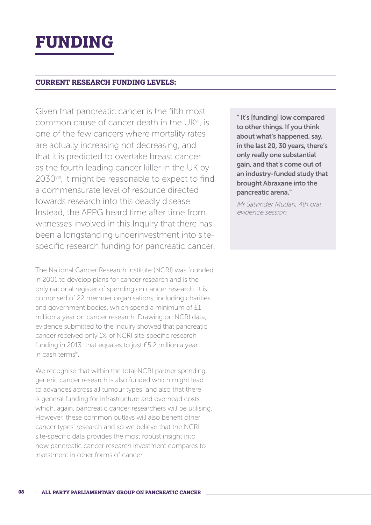# **FUNDING**

### **CURRENT RESEARCH FUNDING LEVELS:**

Given that pancreatic cancer is the fifth most common cause of cancer death in the UKvii, is one of the few cancers where mortality rates are actually increasing not decreasing, and that it is predicted to overtake breast cancer as the fourth leading cancer killer in the UK by 2030<sup>viii</sup>, it might be reasonable to expect to find a commensurate level of resource directed towards research into this deadly disease. Instead, the APPG heard time after time from witnesses involved in this Inquiry that there has been a longstanding underinvestment into sitespecific research funding for pancreatic cancer.

The National Cancer Research Institute (NCRI) was founded in 2001 to develop plans for cancer research and is the only national register of spending on cancer research. It is comprised of 22 member organisations, including charities and government bodies, which spend a minimum of £1 million a year on cancer research. Drawing on NCRI data, evidence submitted to the Inquiry showed that pancreatic cancer received only 1% of NCRI site-specific research funding in 2013: that equates to just £5.2 million a year in cash terms<sup>ix</sup>.

We recognise that within the total NCRI partner spending, generic cancer research is also funded which might lead to advances across all tumour types: and also that there is general funding for infrastructure and overhead costs which, again, pancreatic cancer researchers will be utilising. However, these common outlays will also benefit other cancer types' research and so we believe that the NCRI site-specific data provides the most robust insight into how pancreatic cancer research investment compares to investment in other forms of cancer.

" It's [funding] low compared to other things. If you think about what's happened, say, in the last 20, 30 years, there's only really one substantial gain, and that's come out of an industry-funded study that brought Abraxane into the pancreatic arena."

Mr Satvinder Mudan, 4th oral evidence session.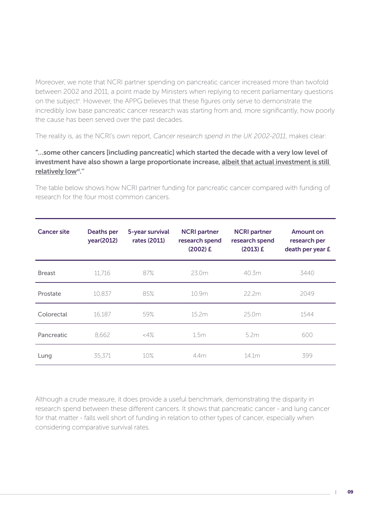Moreover, we note that NCRI partner spending on pancreatic cancer increased more than twofold between 2002 and 2011, a point made by Ministers when replying to recent parliamentary questions on the subject<sup>x</sup>. However, the APPG believes that these figures only serve to demonstrate the incredibly low base pancreatic cancer research was starting from and, more significantly, how poorly the cause has been served over the past decades.

The reality is, as the NCRI's own report, *Cancer research spend in the UK 2002-2011*, makes clear:

## "…some other cancers [including pancreatic] which started the decade with a very low level of investment have also shown a large proportionate increase, albeit that actual investment is still relatively low<sup>xi</sup>."

The table below shows how NCRI partner funding for pancreatic cancer compared with funding of research for the four most common cancers.

| <b>Cancer site</b> | <b>Deaths per</b><br>year(2012) | 5-year survival<br>rates (2011) | <b>NCRI partner</b><br>research spend<br>$(2002)$ £ | <b>NCRI</b> partner<br>research spend<br>$(2013)$ £ | Amount on<br>research per<br>death per year £ |
|--------------------|---------------------------------|---------------------------------|-----------------------------------------------------|-----------------------------------------------------|-----------------------------------------------|
| <b>Breast</b>      | 11,716                          | 87%                             | 23.0m                                               | 40.3m                                               | 3440                                          |
| Prostate           | 10,837                          | 85%                             | 10.9m                                               | 22.2m                                               | 2049                                          |
| Colorectal         | 16,187                          | 59%                             | 15.2m                                               | 25.0m                                               | 1544                                          |
| Pancreatic         | 8,662                           | $<\!\!4\%$                      | 1.5m                                                | 5.2m                                                | 600                                           |
| Lung               | 35.371                          | 10%                             | 44m                                                 | 14.1m                                               | 399                                           |

Although a crude measure, it does provide a useful benchmark, demonstrating the disparity in research spend between these different cancers. It shows that pancreatic cancer - and lung cancer for that matter - falls well short of funding in relation to other types of cancer, especially when considering comparative survival rates.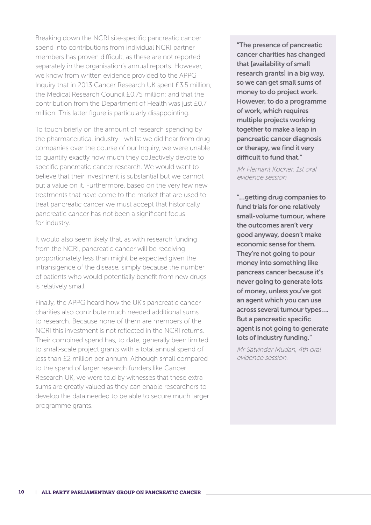Breaking down the NCRI site-specific pancreatic cancer spend into contributions from individual NCRI partner members has proven difficult, as these are not reported separately in the organisation's annual reports. However, we know from written evidence provided to the APPG Inquiry that in 2013 Cancer Research UK spent £3.5 million; the Medical Research Council £0.75 million; and that the contribution from the Department of Health was just £0.7 million. This latter figure is particularly disappointing.

To touch briefly on the amount of research spending by the pharmaceutical industry - whilst we did hear from drug companies over the course of our Inquiry, we were unable to quantify exactly how much they collectively devote to specific pancreatic cancer research. We would want to believe that their investment is substantial but we cannot put a value on it. Furthermore, based on the very few new treatments that have come to the market that are used to treat pancreatic cancer we must accept that historically pancreatic cancer has not been a significant focus for industry.

It would also seem likely that, as with research funding from the NCRI, pancreatic cancer will be receiving proportionately less than might be expected given the intransigence of the disease, simply because the number of patients who would potentially benefit from new drugs is relatively small.

Finally, the APPG heard how the UK's pancreatic cancer charities also contribute much needed additional sums to research. Because none of them are members of the NCRI this investment is not reflected in the NCRI returns. Their combined spend has, to date, generally been limited to small-scale project grants with a total annual spend of less than £2 million per annum. Although small compared to the spend of larger research funders like Cancer Research UK, we were told by witnesses that these extra sums are greatly valued as they can enable researchers to develop the data needed to be able to secure much larger programme grants.

"The presence of pancreatic cancer charities has changed that [availability of small research grants] in a big way, so we can get small sums of money to do project work. However, to do a programme of work, which requires multiple projects working together to make a leap in pancreatic cancer diagnosis or therapy, we find it very difficult to fund that."

Mr Hemant Kocher, 1st oral evidence session

"…getting drug companies to fund trials for one relatively small-volume tumour, where the outcomes aren't very good anyway, doesn't make economic sense for them. They're not going to pour money into something like pancreas cancer because it's never going to generate lots of money, unless you've got an agent which you can use across several tumour types…. But a pancreatic specific agent is not going to generate lots of industry funding."

Mr Satvinder Mudan, 4th oral evidence session.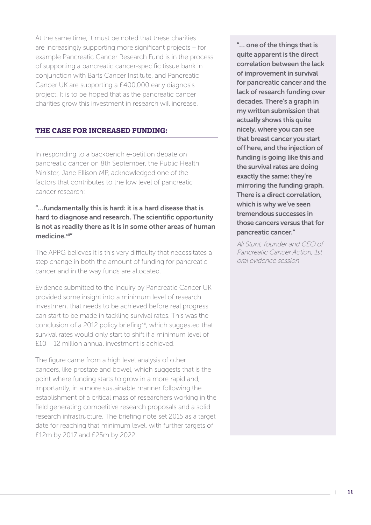At the same time, it must be noted that these charities are increasingly supporting more significant projects – for example Pancreatic Cancer Research Fund is in the process of supporting a pancreatic cancer-specific tissue bank in conjunction with Barts Cancer Institute, and Pancreatic Cancer UK are supporting a £400,000 early diagnosis project. It is to be hoped that as the pancreatic cancer charities grow this investment in research will increase.

# **THE CASE FOR INCREASED FUNDING:**

In responding to a backbench e-petition debate on pancreatic cancer on 8th September, the Public Health Minister, Jane Ellison MP, acknowledged one of the factors that contributes to the low level of pancreatic cancer research:

## "…fundamentally this is hard: it is a hard disease that is hard to diagnose and research. The scientific opportunity is not as readily there as it is in some other areas of human medicine.xiin

The APPG believes it is this very difficulty that necessitates a step change in both the amount of funding for pancreatic cancer and in the way funds are allocated.

Evidence submitted to the Inquiry by Pancreatic Cancer UK provided some insight into a minimum level of research investment that needs to be achieved before real progress can start to be made in tackling survival rates. This was the conclusion of a 2012 policy briefing<sup>xiii</sup>, which suggested that survival rates would only start to shift if a minimum level of £10 – 12 million annual investment is achieved.

The figure came from a high level analysis of other cancers, like prostate and bowel, which suggests that is the point where funding starts to grow in a more rapid and, importantly, in a more sustainable manner following the establishment of a critical mass of researchers working in the field generating competitive research proposals and a solid research infrastructure. The briefing note set 2015 as a target date for reaching that minimum level, with further targets of £12m by 2017 and £25m by 2022.

"… one of the things that is quite apparent is the direct correlation between the lack of improvement in survival for pancreatic cancer and the lack of research funding over decades. There's a graph in my written submission that actually shows this quite nicely, where you can see that breast cancer you start off here, and the injection of funding is going like this and the survival rates are doing exactly the same; they're mirroring the funding graph. There is a direct correlation, which is why we've seen tremendous successes in those cancers versus that for pancreatic cancer."

Ali Stunt, founder and CEO of Pancreatic Cancer Action, 1st oral evidence session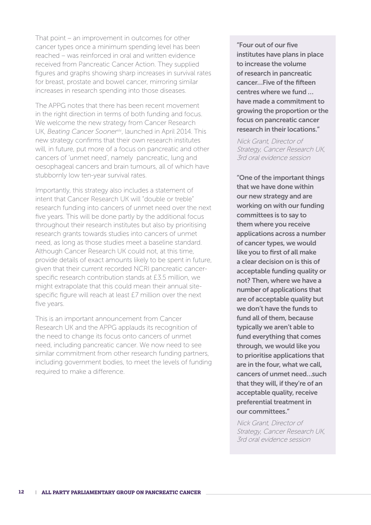That point – an improvement in outcomes for other cancer types once a minimum spending level has been reached – was reinforced in oral and written evidence received from Pancreatic Cancer Action. They supplied figures and graphs showing sharp increases in survival rates for breast, prostate and bowel cancer, mirroring similar increases in research spending into those diseases.

The APPG notes that there has been recent movement in the right direction in terms of both funding and focus. We welcome the new strategy from Cancer Research UK, *Beating Cancer Sooner<sup>xiv</sup>*, launched in April 2014. This new strategy confirms that their own research institutes will, in future, put more of a focus on pancreatic and other cancers of 'unmet need', namely pancreatic, lung and oesophageal cancers and brain tumours, all of which have stubbornly low ten-year survival rates.

Importantly, this strategy also includes a statement of intent that Cancer Research UK will "double or treble" research funding into cancers of unmet need over the next five years. This will be done partly by the additional focus throughout their research institutes but also by prioritising research grants towards studies into cancers of unmet need, as long as those studies meet a baseline standard. Although Cancer Research UK could not, at this time, provide details of exact amounts likely to be spent in future, given that their current recorded NCRI pancreatic cancerspecific research contribution stands at £3.5 million, we might extrapolate that this could mean their annual sitespecific figure will reach at least £7 million over the next five years.

This is an important announcement from Cancer Research UK and the APPG applauds its recognition of the need to change its focus onto cancers of unmet need, including pancreatic cancer. We now need to see similar commitment from other research funding partners, including government bodies, to meet the levels of funding required to make a difference.

"Four out of our five institutes have plans in place to increase the volume of research in pancreatic cancer…Five of the fifteen centres where we fund … have made a commitment to growing the proportion or the focus on pancreatic cancer research in their locations."

Nick Grant, Director of Strategy, Cancer Research UK, 3rd oral evidence session

"One of the important things that we have done within our new strategy and are working on with our funding committees is to say to them where you receive applications across a number of cancer types, we would like you to first of all make a clear decision on is this of acceptable funding quality or not? Then, where we have a number of applications that are of acceptable quality but we don't have the funds to fund all of them, because typically we aren't able to fund everything that comes through, we would like you to prioritise applications that are in the four, what we call, cancers of unmet need…such that they will, if they're of an acceptable quality, receive preferential treatment in our committees."

Nick Grant, Director of Strategy, Cancer Research UK, 3rd oral evidence session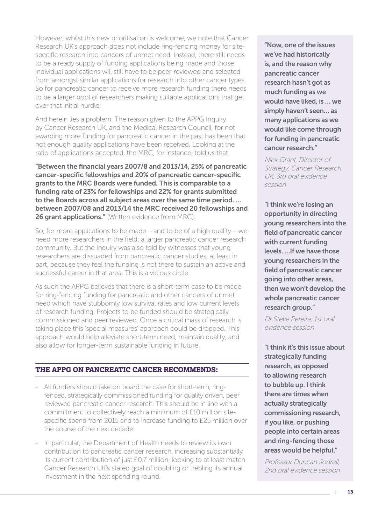However, whilst this new prioritisation is welcome, we note that Cancer Research UK's approach does not include ring-fencing money for sitespecific research into cancers of unmet need. Instead, there still needs to be a ready supply of funding applications being made and those individual applications will still have to be peer-reviewed and selected from amongst similar applications for research into other cancer types. So for pancreatic cancer to receive more research funding there needs to be a larger pool of researchers making suitable applications that get over that initial hurdle.

And herein lies a problem. The reason given to the APPG Inquiry by Cancer Research UK, and the Medical Research Council, for not awarding more funding for pancreatic cancer in the past has been that not enough quality applications have been received. Looking at the ratio of applications accepted, the MRC, for instance, told us that

"Between the financial years 2007/8 and 2013/14, 25% of pancreatic cancer-specific fellowships and 20% of pancreatic cancer-specific grants to the MRC Boards were funded. This is comparable to a funding rate of 23% for fellowships and 22% for grants submitted to the Boards across all subject areas over the same time period. … between 2007/08 and 2013/14 the MRC received 20 fellowships and 26 grant applications." (Written evidence from MRC).

So, for more applications to be made – and to be of a high quality – we need more researchers in the field; a larger pancreatic cancer research community. But the Inquiry was also told by witnesses that young researchers are dissuaded from pancreatic cancer studies, at least in part, because they feel the funding is not there to sustain an active and successful career in that area. This is a vicious circle.

As such the APPG believes that there is a short-term case to be made for ring-fencing funding for pancreatic and other cancers of unmet need which have stubbornly low survival rates and low current levels of research funding. Projects to be funded should be strategically commissioned and peer reviewed. Once a critical mass of research is taking place this 'special measures' approach could be dropped. This approach would help alleviate short-term need, maintain quality, and also allow for longer-term sustainable funding in future.

### **THE APPG ON PANCREATIC CANCER RECOMMENDS:**

- All funders should take on board the case for short-term, ringfenced, strategically commissioned funding for quality driven, peer reviewed pancreatic cancer research. This should be in line with a commitment to collectively reach a minimum of £10 million sitespecific spend from 2015 and to increase funding to £25 million over the course of the next decade.
- In particular, the Department of Health needs to review its own contribution to pancreatic cancer research, increasing substantially its current contribution of just £0.7 million, looking to at least match Cancer Research UK's stated goal of doubling or trebling its annual investment in the next spending round.

"Now, one of the issues we've had historically is, and the reason why pancreatic cancer research hasn't got as much funding as we would have liked, is … we simply haven't seen… as many applications as we would like come through for funding in pancreatic cancer research."

Nick Grant, Director of Strategy, Cancer Research UK, 3rd oral evidence session

"I think we're losing an opportunity in directing young researchers into the field of pancreatic cancer with current funding levels. …If we have those young researchers in the field of pancreatic cancer going into other areas, then we won't develop the whole pancreatic cancer research group."

Dr Steve Pereira, 1st oral evidence session

"I think it's this issue about strategically funding research, as opposed to allowing research to bubble up. I think there are times when actually strategically commissioning research, if you like, or pushing people into certain areas and ring-fencing those areas would be helpful."

Professor Duncan Jodrell, 2nd oral evidence session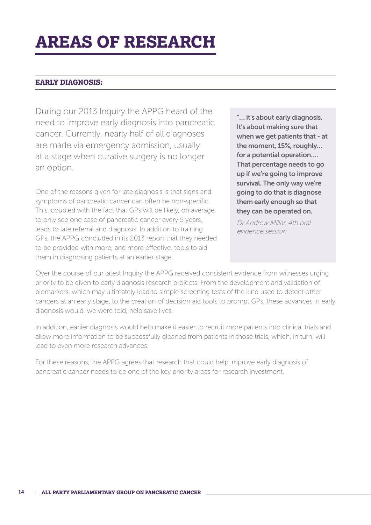# **AREAS OF RESEARCH**

# **EARLY DIAGNOSIS:**

During our 2013 Inquiry the APPG heard of the need to improve early diagnosis into pancreatic cancer. Currently, nearly half of all diagnoses are made via emergency admission, usually at a stage when curative surgery is no longer an option.

One of the reasons given for late diagnosis is that signs and symptoms of pancreatic cancer can often be non-specific. This, coupled with the fact that GPs will be likely, on average, to only see one case of pancreatic cancer every 5 years, leads to late referral and diagnosis. In addition to training GPs, the APPG concluded in its 2013 report that they needed to be provided with more, and more effective, tools to aid them in diagnosing patients at an earlier stage.

"… it's about early diagnosis. It's about making sure that when we get patients that - at the moment, 15%, roughly… for a potential operation…. That percentage needs to go up if we're going to improve survival. The only way we're going to do that is diagnose them early enough so that they can be operated on.

Dr Andrew Millar, 4th oral evidence session

Over the course of our latest Inquiry the APPG received consistent evidence from witnesses urging priority to be given to early diagnosis research projects. From the development and validation of biomarkers, which may ultimately lead to simple screening tests of the kind used to detect other cancers at an early stage, to the creation of decision aid tools to prompt GPs, these advances in early diagnosis would, we were told, help save lives.

In addition, earlier diagnosis would help make it easier to recruit more patients into clinical trials and allow more information to be successfully gleaned from patients in those trials, which, in turn, will lead to even more research advances.

For these reasons, the APPG agrees that research that could help improve early diagnosis of pancreatic cancer needs to be one of the key priority areas for research investment.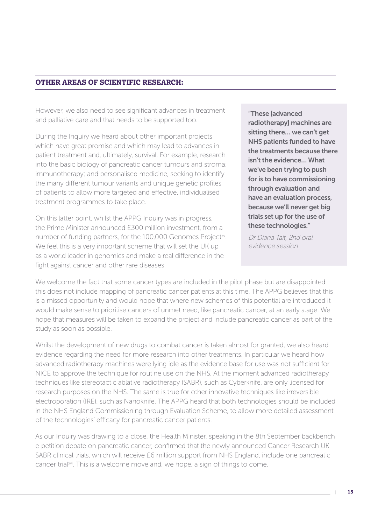### **OTHER AREAS OF SCIENTIFIC RESEARCH:**

However, we also need to see significant advances in treatment and palliative care and that needs to be supported too.

During the Inquiry we heard about other important projects which have great promise and which may lead to advances in patient treatment and, ultimately, survival. For example, research into the basic biology of pancreatic cancer tumours and stroma; immunotherapy; and personalised medicine, seeking to identify the many different tumour variants and unique genetic profiles of patients to allow more targeted and effective, individualised treatment programmes to take place.

On this latter point, whilst the APPG Inquiry was in progress, the Prime Minister announced £300 million investment, from a number of funding partners, for the 100,000 Genomes Project<sup>xv</sup>. We feel this is a very important scheme that will set the UK up as a world leader in genomics and make a real difference in the fight against cancer and other rare diseases.

"These [advanced radiotherapy] machines are sitting there… we can't get NHS patients funded to have the treatments because there isn't the evidence… What we've been trying to push for is to have commissioning through evaluation and have an evaluation process, because we'll never get big trials set up for the use of these technologies."

Dr Diana Tait, 2nd oral evidence session

We welcome the fact that some cancer types are included in the pilot phase but are disappointed this does not include mapping of pancreatic cancer patients at this time. The APPG believes that this is a missed opportunity and would hope that where new schemes of this potential are introduced it would make sense to prioritise cancers of unmet need, like pancreatic cancer, at an early stage. We hope that measures will be taken to expand the project and include pancreatic cancer as part of the study as soon as possible.

Whilst the development of new drugs to combat cancer is taken almost for granted, we also heard evidence regarding the need for more research into other treatments. In particular we heard how advanced radiotherapy machines were lying idle as the evidence base for use was not sufficient for NICE to approve the technique for routine use on the NHS. At the moment advanced radiotherapy techniques like stereotactic ablative radiotherapy (SABR), such as Cyberknife, are only licensed for research purposes on the NHS. The same is true for other innovative techniques like irreversible electroporation (IRE), such as Nanoknife. The APPG heard that both technologies should be included in the NHS England Commissioning through Evaluation Scheme, to allow more detailed assessment of the technologies' efficacy for pancreatic cancer patients.

As our Inquiry was drawing to a close, the Health Minister, speaking in the 8th September backbench e-petition debate on pancreatic cancer, confirmed that the newly announced Cancer Research UK SABR clinical trials, which will receive £6 million support from NHS England, include one pancreatic cancer trial<sup>xvi</sup>. This is a welcome move and, we hope, a sign of things to come.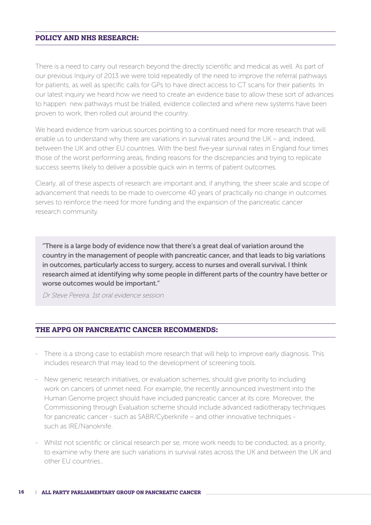### **POLICY AND NHS RESEARCH:**

There is a need to carry out research beyond the directly scientific and medical as well. As part of our previous Inquiry of 2013 we were told repeatedly of the need to improve the referral pathways for patients, as well as specific calls for GPs to have direct access to CT scans for their patients. In our latest inquiry we heard how we need to create an evidence base to allow these sort of advances to happen: new pathways must be trialled, evidence collected and where new systems have been proven to work, then rolled out around the country.

We heard evidence from various sources pointing to a continued need for more research that will enable us to understand why there are variations in survival rates around the UK – and, indeed, between the UK and other EU countries. With the best five-year survival rates in England four times those of the worst performing areas, finding reasons for the discrepancies and trying to replicate success seems likely to deliver a possible quick win in terms of patient outcomes.

Clearly, all of these aspects of research are important and, if anything, the sheer scale and scope of advancement that needs to be made to overcome 40 years of practically no change in outcomes serves to reinforce the need for more funding and the expansion of the pancreatic cancer research community.

"There is a large body of evidence now that there's a great deal of variation around the country in the management of people with pancreatic cancer, and that leads to big variations in outcomes, particularly access to surgery, access to nurses and overall survival. I think research aimed at identifying why some people in different parts of the country have better or worse outcomes would be important."

Dr Steve Pereira, 1st oral evidence session

#### **THE APPG ON PANCREATIC CANCER RECOMMENDS:**

- There is a strong case to establish more research that will help to improve early diagnosis. This includes research that may lead to the development of screening tools.
- New generic research initiatives, or evaluation schemes, should give priority to including work on cancers of unmet need. For example, the recently announced investment into the Human Genome project should have included pancreatic cancer at its core. Moreover, the Commissioning through Evaluation scheme should include advanced radiotherapy techniques for pancreatic cancer - such as SABR/Cyberknife – and other innovative techniques such as IRE/Nanoknife.
- Whilst not scientific or clinical research per se, more work needs to be conducted, as a priority, to examine why there are such variations in survival rates across the UK and between the UK and other EU countries..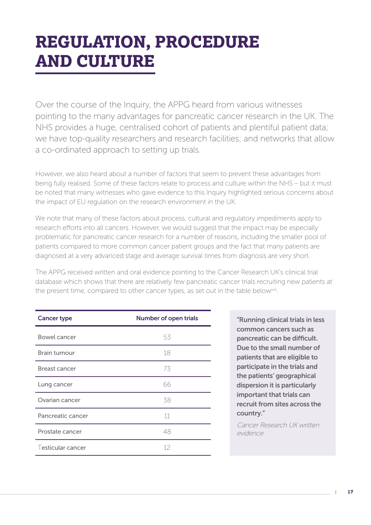# **REGULATION, PROCEDURE AND CULTURE**

Over the course of the Inquiry, the APPG heard from various witnesses pointing to the many advantages for pancreatic cancer research in the UK. The NHS provides a huge, centralised cohort of patients and plentiful patient data; we have top-quality researchers and research facilities; and networks that allow a co-ordinated approach to setting up trials.

However, we also heard about a number of factors that seem to prevent these advantages from being fully realised. Some of these factors relate to process and culture within the NHS – but it must be noted that many witnesses who gave evidence to this Inquiry highlighted serious concerns about the impact of EU regulation on the research environment in the UK.

We note that many of these factors about process, cultural and regulatory impediments apply to research efforts into all cancers. However, we would suggest that the impact may be especially problematic for pancreatic cancer research for a number of reasons, including the smaller pool of patients compared to more common cancer patient groups and the fact that many patients are diagnosed at a very advanced stage and average survival times from diagnosis are very short.

The APPG received written and oral evidence pointing to the Cancer Research UK's clinical trial database which shows that there are relatively few pancreatic cancer trials recruiting new patients at the present time, compared to other cancer types, as set out in the table below<sup>xvii</sup>.

| <b>Cancer type</b>   | <b>Number of open trials</b> |
|----------------------|------------------------------|
| Bowel cancer         | 53                           |
| <b>Brain tumour</b>  | 18                           |
| <b>Breast cancer</b> | 73                           |
| Lung cancer          | 66                           |
| Ovarian cancer       | 38                           |
| Pancreatic cancer    | 11                           |
| Prostate cancer      | 48                           |
| Testicular cancer    | 12                           |

"Running clinical trials in less common cancers such as pancreatic can be difficult. Due to the small number of patients that are eligible to participate in the trials and the patients' geographical dispersion it is particularly important that trials can recruit from sites across the country."

Cancer Research UK written evidence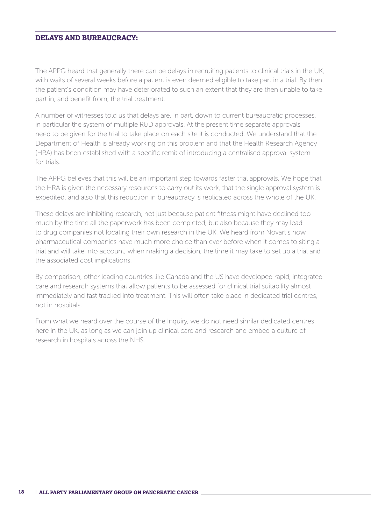#### **DELAYS AND BUREAUCRACY:**

The APPG heard that generally there can be delays in recruiting patients to clinical trials in the UK, with waits of several weeks before a patient is even deemed eligible to take part in a trial. By then the patient's condition may have deteriorated to such an extent that they are then unable to take part in, and benefit from, the trial treatment.

A number of witnesses told us that delays are, in part, down to current bureaucratic processes, in particular the system of multiple R&D approvals. At the present time separate approvals need to be given for the trial to take place on each site it is conducted. We understand that the Department of Health is already working on this problem and that the Health Research Agency (HRA) has been established with a specific remit of introducing a centralised approval system for trials.

The APPG believes that this will be an important step towards faster trial approvals. We hope that the HRA is given the necessary resources to carry out its work, that the single approval system is expedited, and also that this reduction in bureaucracy is replicated across the whole of the UK.

These delays are inhibiting research, not just because patient fitness might have declined too much by the time all the paperwork has been completed, but also because they may lead to drug companies not locating their own research in the UK. We heard from Novartis how pharmaceutical companies have much more choice than ever before when it comes to siting a trial and will take into account, when making a decision, the time it may take to set up a trial and the associated cost implications.

By comparison, other leading countries like Canada and the US have developed rapid, integrated care and research systems that allow patients to be assessed for clinical trial suitability almost immediately and fast tracked into treatment. This will often take place in dedicated trial centres, not in hospitals.

From what we heard over the course of the Inquiry, we do not need similar dedicated centres here in the UK, as long as we can join up clinical care and research and embed a culture of research in hospitals across the NHS.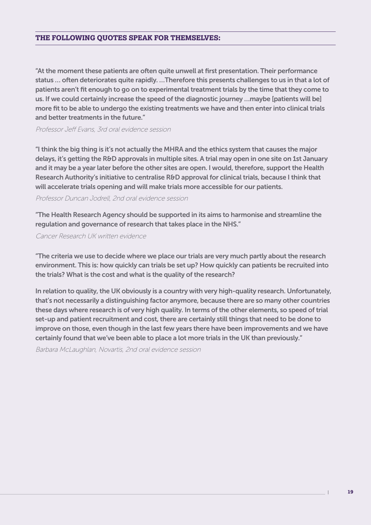#### **THE FOLLOWING QUOTES SPEAK FOR THEMSELVES:**

"At the moment these patients are often quite unwell at first presentation. Their performance status … often deteriorates quite rapidly. …Therefore this presents challenges to us in that a lot of patients aren't fit enough to go on to experimental treatment trials by the time that they come to us. If we could certainly increase the speed of the diagnostic journey …maybe [patients will be] more fit to be able to undergo the existing treatments we have and then enter into clinical trials and better treatments in the future."

Professor Jeff Evans, 3rd oral evidence session

"I think the big thing is it's not actually the MHRA and the ethics system that causes the major delays, it's getting the R&D approvals in multiple sites. A trial may open in one site on 1st January and it may be a year later before the other sites are open. I would, therefore, support the Health Research Authority's initiative to centralise R&D approval for clinical trials, because I think that will accelerate trials opening and will make trials more accessible for our patients.

Professor Duncan Jodrell, 2nd oral evidence session

"The Health Research Agency should be supported in its aims to harmonise and streamline the regulation and governance of research that takes place in the NHS."

Cancer Research UK written evidence

"The criteria we use to decide where we place our trials are very much partly about the research environment. This is: how quickly can trials be set up? How quickly can patients be recruited into the trials? What is the cost and what is the quality of the research?

In relation to quality, the UK obviously is a country with very high-quality research. Unfortunately, that's not necessarily a distinguishing factor anymore, because there are so many other countries these days where research is of very high quality. In terms of the other elements, so speed of trial set-up and patient recruitment and cost, there are certainly still things that need to be done to improve on those, even though in the last few years there have been improvements and we have certainly found that we've been able to place a lot more trials in the UK than previously."

Barbara McLaughlan, Novartis, 2nd oral evidence session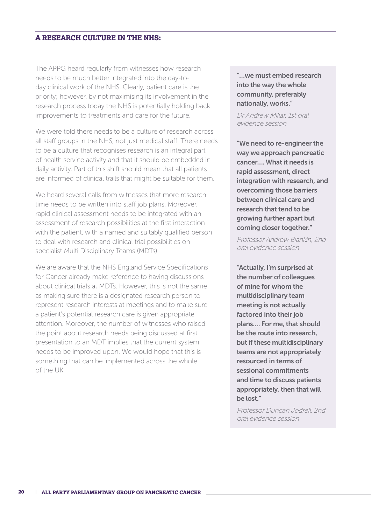#### **A RESEARCH CULTURE IN THE NHS:**

The APPG heard regularly from witnesses how research needs to be much better integrated into the day-today clinical work of the NHS. Clearly, patient care is the priority; however, by not maximising its involvement in the research process today the NHS is potentially holding back improvements to treatments and care for the future.

We were told there needs to be a culture of research across all staff groups in the NHS, not just medical staff. There needs to be a culture that recognises research is an integral part of health service activity and that it should be embedded in daily activity. Part of this shift should mean that all patients are informed of clinical trails that might be suitable for them.

We heard several calls from witnesses that more research time needs to be written into staff job plans. Moreover, rapid clinical assessment needs to be integrated with an assessment of research possibilities at the first interaction with the patient, with a named and suitably qualified person to deal with research and clinical trial possibilities on specialist Multi Disciplinary Teams (MDTs).

We are aware that the NHS England Service Specifications for Cancer already make reference to having discussions about clinical trials at MDTs. However, this is not the same as making sure there is a designated research person to represent research interests at meetings and to make sure a patient's potential research care is given appropriate attention. Moreover, the number of witnesses who raised the point about research needs being discussed at first presentation to an MDT implies that the current system needs to be improved upon. We would hope that this is something that can be implemented across the whole of the UK.

"…we must embed research into the way the whole community, preferably nationally, works."

Dr Andrew Millar, 1st oral evidence session

"We need to re-engineer the way we approach pancreatic cancer…. What it needs is rapid assessment, direct integration with research, and overcoming those barriers between clinical care and research that tend to be growing further apart but coming closer together."

Professor Andrew Biankin, 2nd oral evidence session

"Actually, I'm surprised at the number of colleagues of mine for whom the multidisciplinary team meeting is not actually factored into their job plans…. For me, that should be the route into research, but if these multidisciplinary teams are not appropriately resourced in terms of sessional commitments and time to discuss patients appropriately, then that will be lost."

Professor Duncan Jodrell, 2nd oral evidence session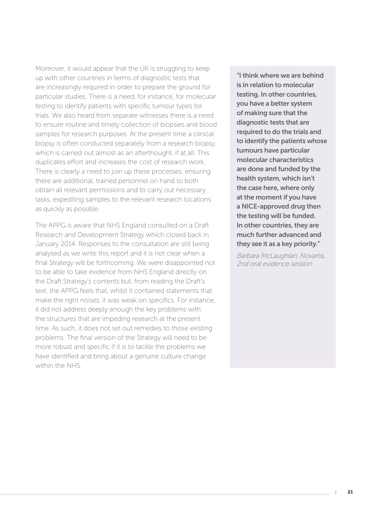Moreover, it would appear that the UK is struggling to keep up with other countries in terms of diagnostic tests that are increasingly required in order to prepare the ground for particular studies. There is a need, for instance, for molecular testing to identify patients with specific tumour types for trials. We also heard from separate witnesses there is a need to ensure routine and timely collection of biopsies and blood samples for research purposes. At the present time a clinical biopsy is often conducted separately from a research biopsy, which is carried out almost as an afterthought, if at all. This duplicates effort and increases the cost of research work. There is clearly a need to join up these processes, ensuring there are additional, trained personnel on hand to both obtain all relevant permissions and to carry out necessary tasks, expediting samples to the relevant research locations as quickly as possible.

The APPG is aware that NHS England consulted on a Draft Research and Development Strategy which closed back in January 2014. Responses to the consultation are still being analysed as we write this report and it is not clear when a final Strategy will be forthcoming. We were disappointed not to be able to take evidence from NHS England directly on the Draft Strategy's contents but, from reading the Draft's text, the APPG feels that, whilst it contained statements that make the right noises, it was weak on specifics. For instance, it did not address deeply enough the key problems with the structures that are impeding research at the present time. As such, it does not set out remedies to those existing problems. The final version of the Strategy will need to be more robust and specific if it is to tackle the problems we have identified and bring about a genuine culture change within the NHS.

"I think where we are behind is in relation to molecular testing. In other countries, you have a better system of making sure that the diagnostic tests that are required to do the trials and to identify the patients whose tumours have particular molecular characteristics are done and funded by the health system, which isn't the case here, where only at the moment if you have a NICE-approved drug then the testing will be funded. In other countries, they are much further advanced and they see it as a key priority."

Barbara McLaughlan, Novartis, 2nd oral evidence session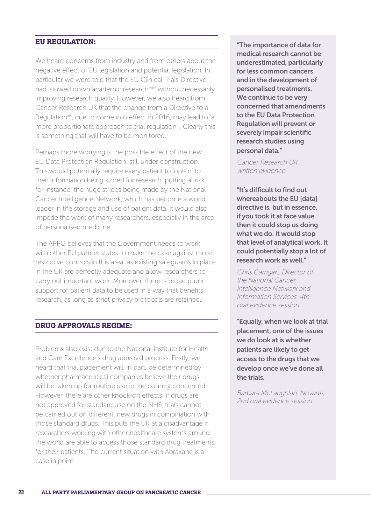#### **EU REGULATION:**

We heard concerns from industry and from others about the negative effect of EU legislation and potential legislation. In particular we were told that the EU Clinical Trials Directive had 'slowed down academic research<sup>xviii</sup>' without necessarily improving research quality. However, we also heard from Cancer Research UK that the change from a Directive to a Regulation<sup>xix</sup>, due to come into effect in 2016, may lead to 'a more proportionate approach to trial regulation '. Clearly this is something that will have to be monitored.

Perhaps more worrying is the possible effect of the new EU Data Protection Regulation, still under construction. This would potentially require every patient to 'opt-in' to their information being stored for research, putting at risk, for instance, the huge strides being made by the National Cancer Intelligence Network, which has become a world leader in the storage and use of patient data. It would also impede the work of many researchers, especially in the area of personalised medicine.

The APPG believes that the Government needs to work with other EU partner states to make the case against more restrictive controls in this area, as existing safeguards in place in the UK are perfectly adequate and allow researchers to carry out important work. Moreover, there is broad public support for patient data to be used in a way that benefits research, as long as strict privacy protocols are retained.

#### **DRUG APPROVALS REGIME:**

Problems also exist due to the National Institute for Health and Care Excellence's drug approval process. Firstly, we heard that trial placement will, in part, be determined by whether pharmaceutical companies believe their drugs will be taken up for routine use in the country concerned. However, there are other knock-on effects: if drugs are not approved for standard use on the NHS, trials cannot be carried out on different, new drugs in combination with those standard drugs. This puts the UK at a disadvantage if researchers working with other healthcare systems around the world are able to access those standard drug treatments for their patients. The current situation with Abraxane is a case in point.

"The importance of data for medical research cannot be underestimated, particularly for less common cancers and in the development of personalised treatments. We continue to be very concerned that amendments to the EU Data Protection Regulation will prevent or severely impair scientific research studies using personal data."

Cancer Research UK written evidence

"It's difficult to find out whereabouts the EU [data] directive is, but in essence, if you took it at face value then it could stop us doing what we do. It would stop that level of analytical work. It could potentially stop a lot of research work as well."

Chris Carrigan, Director of the National Cancer Intelligence Network and Information Services. 4th oral evidence session.

"Equally, when we look at trial placement, one of the issues we do look at is whether patients are likely to get access to the drugs that we develop once we've done all the trials.

Barbara McLaughlan, Novartis, 2nd oral evidence session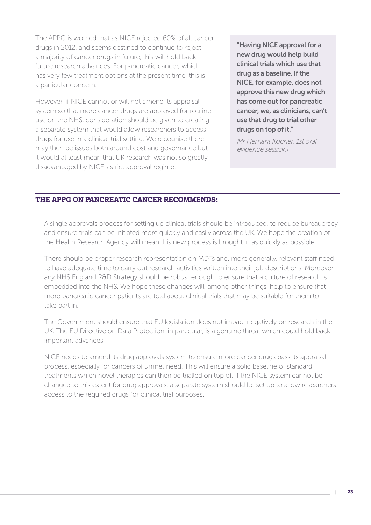The APPG is worried that as NICE rejected 60% of all cancer drugs in 2012, and seems destined to continue to reject a majority of cancer drugs in future, this will hold back future research advances. For pancreatic cancer, which has very few treatment options at the present time, this is a particular concern.

However, if NICE cannot or will not amend its appraisal system so that more cancer drugs are approved for routine use on the NHS, consideration should be given to creating a separate system that would allow researchers to access drugs for use in a clinical trial setting. We recognise there may then be issues both around cost and governance but it would at least mean that UK research was not so greatly disadvantaged by NICE's strict approval regime.

"Having NICE approval for a new drug would help build clinical trials which use that drug as a baseline. If the NICE, for example, does not approve this new drug which has come out for pancreatic cancer, we, as clinicians, can't use that drug to trial other drugs on top of it."

Mr Hemant Kocher, 1st oral evidence session)

### **THE APPG ON PANCREATIC CANCER RECOMMENDS:**

- A single approvals process for setting up clinical trials should be introduced, to reduce bureaucracy and ensure trials can be initiated more quickly and easily across the UK. We hope the creation of the Health Research Agency will mean this new process is brought in as quickly as possible.
- There should be proper research representation on MDTs and, more generally, relevant staff need to have adequate time to carry out research activities written into their job descriptions. Moreover, any NHS England R&D Strategy should be robust enough to ensure that a culture of research is embedded into the NHS. We hope these changes will, among other things, help to ensure that more pancreatic cancer patients are told about clinical trials that may be suitable for them to take part in.
- The Government should ensure that EU legislation does not impact negatively on research in the UK. The EU Directive on Data Protection, in particular, is a genuine threat which could hold back important advances.
- NICE needs to amend its drug approvals system to ensure more cancer drugs pass its appraisal process, especially for cancers of unmet need. This will ensure a solid baseline of standard treatments which novel therapies can then be trialled on top of. If the NICE system cannot be changed to this extent for drug approvals, a separate system should be set up to allow researchers access to the required drugs for clinical trial purposes.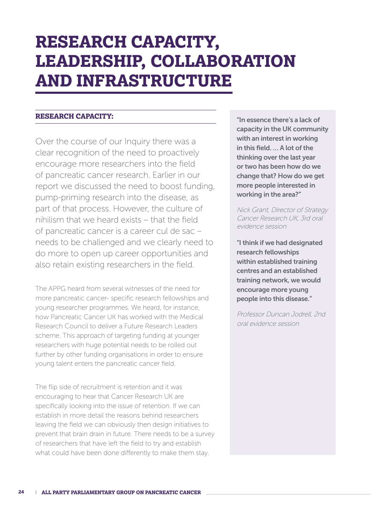# **RESEARCH CAPACITY, LEADERSHIP, COLLABORATION AND INFRASTRUCTURE**

#### **RESEARCH CAPACITY:**

Over the course of our Inquiry there was a clear recognition of the need to proactively encourage more researchers into the field of pancreatic cancer research. Earlier in our report we discussed the need to boost funding, pump-priming research into the disease, as part of that process. However, the culture of nihilism that we heard exists – that the field of pancreatic cancer is a career cul de sac – needs to be challenged and we clearly need to do more to open up career opportunities and also retain existing researchers in the field.

The APPG heard from several witnesses of the need for more pancreatic cancer- specific research fellowships and young researcher programmes. We heard, for instance, how Pancreatic Cancer UK has worked with the Medical Research Council to deliver a Future Research Leaders scheme. This approach of targeting funding at younger researchers with huge potential needs to be rolled out further by other funding organisations in order to ensure young talent enters the pancreatic cancer field.

The flip side of recruitment is retention and it was encouraging to hear that Cancer Research UK are specifically looking into the issue of retention. If we can establish in more detail the reasons behind researchers leaving the field we can obviously then design initiatives to prevent that brain drain in future. There needs to be a survey of researchers that have left the field to try and establish what could have been done differently to make them stay.

"In essence there's a lack of capacity in the UK community with an interest in working in this field. … A lot of the thinking over the last year or two has been how do we change that? How do we get more people interested in working in the area?"

Nick Grant, Director of Strategy Cancer Research UK, 3rd oral evidence session

"I think if we had designated research fellowships within established training centres and an established training network, we would encourage more young people into this disease."

Professor Duncan Jodrell, 2nd oral evidence session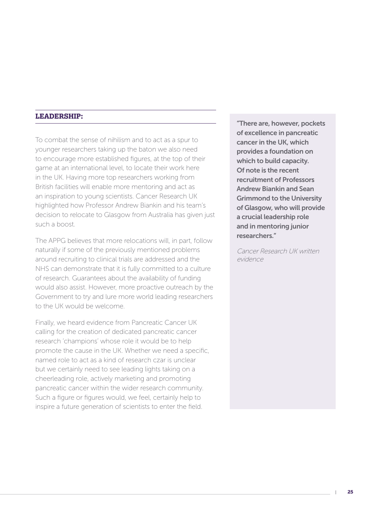#### **LEADERSHIP:**

To combat the sense of nihilism and to act as a spur to younger researchers taking up the baton we also need to encourage more established figures, at the top of their game at an international level, to locate their work here in the UK. Having more top researchers working from British facilities will enable more mentoring and act as an inspiration to young scientists. Cancer Research UK highlighted how Professor Andrew Biankin and his team's decision to relocate to Glasgow from Australia has given just such a boost.

The APPG believes that more relocations will, in part, follow naturally if some of the previously mentioned problems around recruiting to clinical trials are addressed and the NHS can demonstrate that it is fully committed to a culture of research. Guarantees about the availability of funding would also assist. However, more proactive outreach by the Government to try and lure more world leading researchers to the UK would be welcome.

Finally, we heard evidence from Pancreatic Cancer UK calling for the creation of dedicated pancreatic cancer research 'champions' whose role it would be to help promote the cause in the UK. Whether we need a specific, named role to act as a kind of research czar is unclear but we certainly need to see leading lights taking on a cheerleading role, actively marketing and promoting pancreatic cancer within the wider research community. Such a figure or figures would, we feel, certainly help to inspire a future generation of scientists to enter the field.

"There are, however, pockets of excellence in pancreatic cancer in the UK, which provides a foundation on which to build capacity. Of note is the recent recruitment of Professors Andrew Biankin and Sean Grimmond to the University of Glasgow, who will provide a crucial leadership role and in mentoring junior researchers."

Cancer Research UK written evidence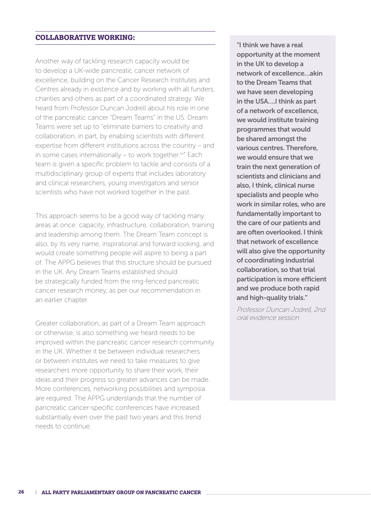#### **COLLABORATIVE WORKING:**

Another way of tackling research capacity would be to develop a UK-wide pancreatic cancer network of excellence, building on the Cancer Research Institutes and Centres already in existence and by working with all funders, charities and others as part of a coordinated strategy. We heard from Professor Duncan Jodrell about his role in one of the pancreatic cancer "Dream Teams" in the US. Dream Teams were set up to "eliminate barriers to creativity and collaboration, in part, by enabling scientists with different expertise from different institutions across the country – and in some cases internationally – to work together. $x^2$  Each team is given a specific problem to tackle and consists of a multidisciplinary group of experts that includes laboratory and clinical researchers, young investigators and senior scientists who have not worked together in the past.

This approach seems to be a good way of tackling many areas at once: capacity, infrastructure, collaboration, training and leadership among them. The Dream Team concept is also, by its very name, inspirational and forward looking, and would create something people will aspire to being a part of. The APPG believes that this structure should be pursued in the UK. Any Dream Teams established should be strategically funded from the ring-fenced pancreatic cancer research money, as per our recommendation in an earlier chapter.

Greater collaboration, as part of a Dream Team approach or otherwise, is also something we heard needs to be improved within the pancreatic cancer research community in the UK. Whether it be between individual researchers or between institutes we need to take measures to give researchers more opportunity to share their work, their ideas and their progress so greater advances can be made. More conferences, networking possibilities and symposia are required. The APPG understands that the number of pancreatic cancer-specific conferences have increased substantially even over the past two years and this trend needs to continue.

"I think we have a real opportunity at the moment in the UK to develop a network of excellence…akin to the Dream Teams that we have seen developing in the USA….I think as part of a network of excellence, we would institute training programmes that would be shared amongst the various centres. Therefore, we would ensure that we train the next generation of scientists and clinicians and also, I think, clinical nurse specialists and people who work in similar roles, who are fundamentally important to the care of our patients and are often overlooked. I think that network of excellence will also give the opportunity of coordinating industrial collaboration, so that trial participation is more efficient and we produce both rapid and high-quality trials."

Professor Duncan Jodrell, 2nd oral evidence session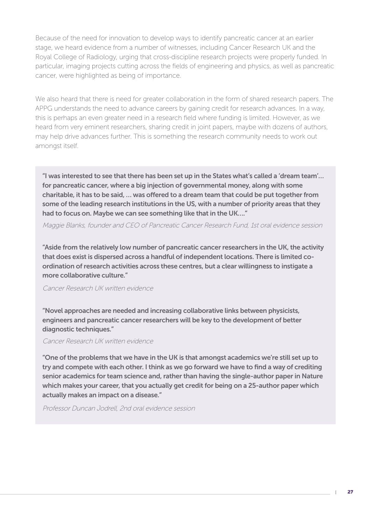Because of the need for innovation to develop ways to identify pancreatic cancer at an earlier stage, we heard evidence from a number of witnesses, including Cancer Research UK and the Royal College of Radiology, urging that cross-discipline research projects were properly funded. In particular, imaging projects cutting across the fields of engineering and physics, as well as pancreatic cancer, were highlighted as being of importance.

We also heard that there is need for greater collaboration in the form of shared research papers. The APPG understands the need to advance careers by gaining credit for research advances. In a way, this is perhaps an even greater need in a research field where funding is limited. However, as we heard from very eminent researchers, sharing credit in joint papers, maybe with dozens of authors, may help drive advances further. This is something the research community needs to work out amongst itself.

"I was interested to see that there has been set up in the States what's called a 'dream team'… for pancreatic cancer, where a big injection of governmental money, along with some charitable, it has to be said, … was offered to a dream team that could be put together from some of the leading research institutions in the US, with a number of priority areas that they had to focus on. Maybe we can see something like that in the UK…."

Maggie Blanks, founder and CEO of Pancreatic Cancer Research Fund, 1st oral evidence session

"Aside from the relatively low number of pancreatic cancer researchers in the UK, the activity that does exist is dispersed across a handful of independent locations. There is limited coordination of research activities across these centres, but a clear willingness to instigate a more collaborative culture."

#### Cancer Research UK written evidence

"Novel approaches are needed and increasing collaborative links between physicists, engineers and pancreatic cancer researchers will be key to the development of better diagnostic techniques."

#### Cancer Research UK written evidence

"One of the problems that we have in the UK is that amongst academics we're still set up to try and compete with each other. I think as we go forward we have to find a way of crediting senior academics for team science and, rather than having the single-author paper in Nature which makes your career, that you actually get credit for being on a 25-author paper which actually makes an impact on a disease."

Professor Duncan Jodrell, 2nd oral evidence session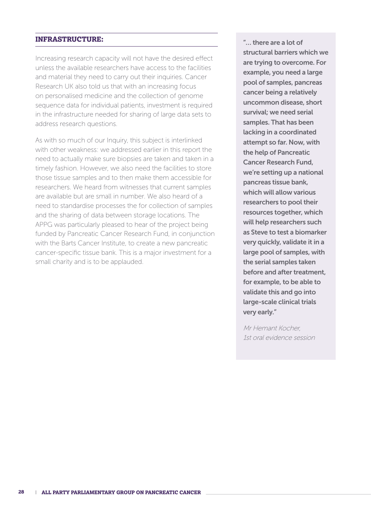#### **INFRASTRUCTURE:**

Increasing research capacity will not have the desired effect unless the available researchers have access to the facilities and material they need to carry out their inquiries. Cancer Research UK also told us that with an increasing focus on personalised medicine and the collection of genome sequence data for individual patients, investment is required in the infrastructure needed for sharing of large data sets to address research questions.

As with so much of our Inquiry, this subject is interlinked with other weakness: we addressed earlier in this report the need to actually make sure biopsies are taken and taken in a timely fashion. However, we also need the facilities to store those tissue samples and to then make them accessible for researchers. We heard from witnesses that current samples are available but are small in number. We also heard of a need to standardise processes the for collection of samples and the sharing of data between storage locations. The APPG was particularly pleased to hear of the project being funded by Pancreatic Cancer Research Fund, in conjunction with the Barts Cancer Institute, to create a new pancreatic cancer-specific tissue bank. This is a major investment for a small charity and is to be applauded.

"… there are a lot of structural barriers which we are trying to overcome. For example, you need a large pool of samples, pancreas cancer being a relatively uncommon disease, short survival; we need serial samples. That has been lacking in a coordinated attempt so far. Now, with the help of Pancreatic Cancer Research Fund, we're setting up a national pancreas tissue bank, which will allow various researchers to pool their resources together, which will help researchers such as Steve to test a biomarker very quickly, validate it in a large pool of samples, with the serial samples taken before and after treatment, for example, to be able to validate this and go into large-scale clinical trials very early."

Mr Hemant Kocher, 1st oral evidence session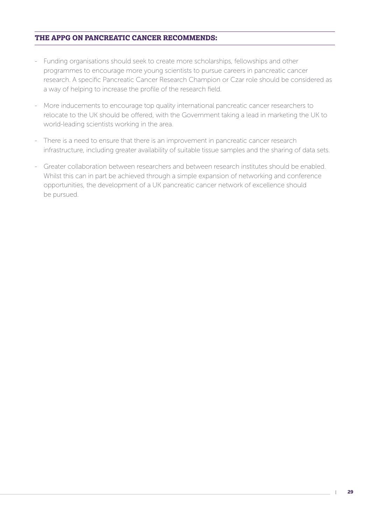### **THE APPG ON PANCREATIC CANCER RECOMMENDS:**

- Funding organisations should seek to create more scholarships, fellowships and other programmes to encourage more young scientists to pursue careers in pancreatic cancer research. A specific Pancreatic Cancer Research Champion or Czar role should be considered as a way of helping to increase the profile of the research field.
- More inducements to encourage top quality international pancreatic cancer researchers to relocate to the UK should be offered, with the Government taking a lead in marketing the UK to world-leading scientists working in the area.
- There is a need to ensure that there is an improvement in pancreatic cancer research infrastructure, including greater availability of suitable tissue samples and the sharing of data sets.
- Greater collaboration between researchers and between research institutes should be enabled. Whilst this can in part be achieved through a simple expansion of networking and conference opportunities, the development of a UK pancreatic cancer network of excellence should be pursued.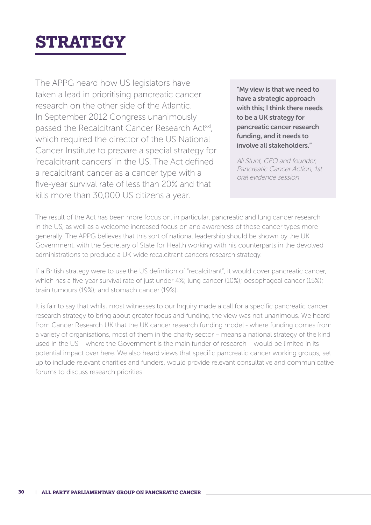# **STRATEGY**

The APPG heard how US legislators have taken a lead in prioritising pancreatic cancer research on the other side of the Atlantic. In September 2012 Congress unanimously passed the Recalcitrant Cancer Research Act<sup>xxi</sup>, which required the director of the US National Cancer Institute to prepare a special strategy for 'recalcitrant cancers' in the US. The Act defined a recalcitrant cancer as a cancer type with a five-year survival rate of less than 20% and that kills more than 30,000 US citizens a year.

"My view is that we need to have a strategic approach with this: I think there needs to be a UK strategy for pancreatic cancer research funding, and it needs to involve all stakeholders."

Ali Stunt, CEO and founder, Pancreatic Cancer Action, 1st oral evidence session

The result of the Act has been more focus on, in particular, pancreatic and lung cancer research in the US, as well as a welcome increased focus on and awareness of those cancer types more generally. The APPG believes that this sort of national leadership should be shown by the UK Government, with the Secretary of State for Health working with his counterparts in the devolved administrations to produce a UK-wide recalcitrant cancers research strategy.

If a British strategy were to use the US definition of "recalcitrant", it would cover pancreatic cancer, which has a five-year survival rate of just under 4%; lung cancer (10%); oesophageal cancer (15%); brain tumours (19%); and stomach cancer (19%).

It is fair to say that whilst most witnesses to our Inquiry made a call for a specific pancreatic cancer research strategy to bring about greater focus and funding, the view was not unanimous. We heard from Cancer Research UK that the UK cancer research funding model - where funding comes from a variety of organisations, most of them in the charity sector – means a national strategy of the kind used in the US – where the Government is the main funder of research – would be limited in its potential impact over here. We also heard views that specific pancreatic cancer working groups, set up to include relevant charities and funders, would provide relevant consultative and communicative forums to discuss research priorities.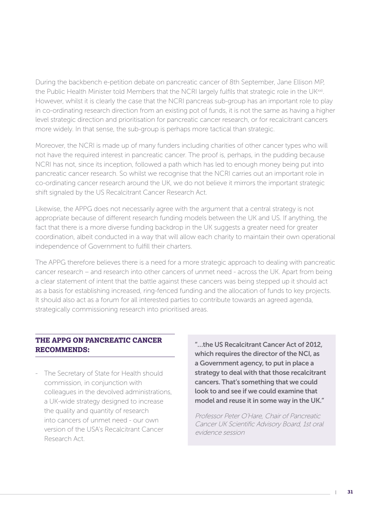During the backbench e-petition debate on pancreatic cancer of 8th September, Jane Ellison MP, the Public Health Minister told Members that the NCRI largely fulfils that strategic role in the UKxxii. However, whilst it is clearly the case that the NCRI pancreas sub-group has an important role to play in co-ordinating research direction from an existing pot of funds, it is not the same as having a higher level strategic direction and prioritisation for pancreatic cancer research, or for recalcitrant cancers more widely. In that sense, the sub-group is perhaps more tactical than strategic.

Moreover, the NCRI is made up of many funders including charities of other cancer types who will not have the required interest in pancreatic cancer. The proof is, perhaps, in the pudding because NCRI has not, since its inception, followed a path which has led to enough money being put into pancreatic cancer research. So whilst we recognise that the NCRI carries out an important role in co-ordinating cancer research around the UK, we do not believe it mirrors the important strategic shift signaled by the US Recalcitrant Cancer Research Act.

Likewise, the APPG does not necessarily agree with the argument that a central strategy is not appropriate because of different research funding models between the UK and US. If anything, the fact that there is a more diverse funding backdrop in the UK suggests a greater need for greater coordination, albeit conducted in a way that will allow each charity to maintain their own operational independence of Government to fulfill their charters.

The APPG therefore believes there is a need for a more strategic approach to dealing with pancreatic cancer research – and research into other cancers of unmet need - across the UK. Apart from being a clear statement of intent that the battle against these cancers was being stepped up it should act as a basis for establishing increased, ring-fenced funding and the allocation of funds to key projects. It should also act as a forum for all interested parties to contribute towards an agreed agenda, strategically commissioning research into prioritised areas.

### **THE APPG ON PANCREATIC CANCER RECOMMENDS:**

- The Secretary of State for Health should commission, in conjunction with colleagues in the devolved administrations, a UK-wide strategy designed to increase the quality and quantity of research into cancers of unmet need - our own version of the USA's Recalcitrant Cancer Research Act.

"…the US Recalcitrant Cancer Act of 2012, which requires the director of the NCI, as a Government agency, to put in place a strategy to deal with that those recalcitrant cancers. That's something that we could look to and see if we could examine that model and reuse it in some way in the UK."

Professor Peter O'Hare, Chair of Pancreatic Cancer UK Scientific Advisory Board, 1st oral evidence session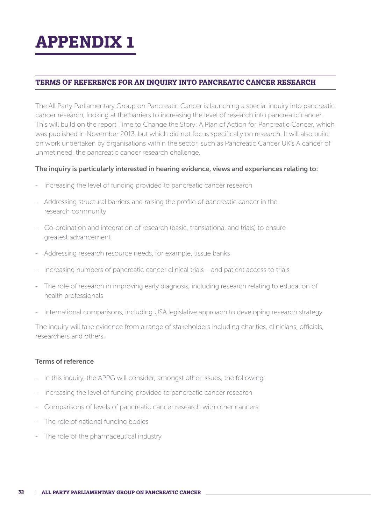# **APPENDIX 1**

# **TERMS OF REFERENCE FOR AN INQUIRY INTO PANCREATIC CANCER RESEARCH**

The All Party Parliamentary Group on Pancreatic Cancer is launching a special inquiry into pancreatic cancer research, looking at the barriers to increasing the level of research into pancreatic cancer. This will build on the report Time to Change the Story: A Plan of Action for Pancreatic Cancer, which was published in November 2013, but which did not focus specifically on research. It will also build on work undertaken by organisations within the sector, such as Pancreatic Cancer UK's A cancer of unmet need: the pancreatic cancer research challenge.

#### The inquiry is particularly interested in hearing evidence, views and experiences relating to:

- Increasing the level of funding provided to pancreatic cancer research
- Addressing structural barriers and raising the profile of pancreatic cancer in the research community
- Co-ordination and integration of research (basic, translational and trials) to ensure greatest advancement
- Addressing research resource needs, for example, tissue banks
- Increasing numbers of pancreatic cancer clinical trials and patient access to trials
- The role of research in improving early diagnosis, including research relating to education of health professionals
- International comparisons, including USA legislative approach to developing research strategy

The inquiry will take evidence from a range of stakeholders including charities, clinicians, officials, researchers and others.

#### Terms of reference

- In this inquiry, the APPG will consider, amongst other issues, the following:
- Increasing the level of funding provided to pancreatic cancer research
- Comparisons of levels of pancreatic cancer research with other cancers
- The role of national funding bodies
- The role of the pharmaceutical industry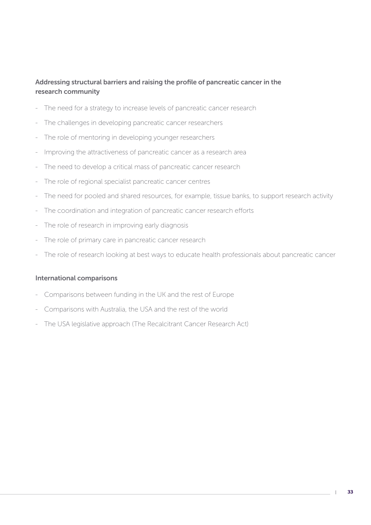# Addressing structural barriers and raising the profile of pancreatic cancer in the research community

- The need for a strategy to increase levels of pancreatic cancer research
- The challenges in developing pancreatic cancer researchers
- The role of mentoring in developing younger researchers
- Improving the attractiveness of pancreatic cancer as a research area
- The need to develop a critical mass of pancreatic cancer research
- The role of regional specialist pancreatic cancer centres
- The need for pooled and shared resources, for example, tissue banks, to support research activity
- The coordination and integration of pancreatic cancer research efforts
- The role of research in improving early diagnosis
- The role of primary care in pancreatic cancer research
- The role of research looking at best ways to educate health professionals about pancreatic cancer

#### International comparisons

- Comparisons between funding in the UK and the rest of Europe
- Comparisons with Australia, the USA and the rest of the world
- The USA legislative approach (The Recalcitrant Cancer Research Act)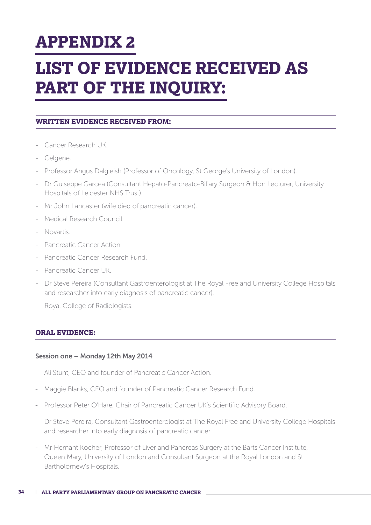# **APPENDIX 2**

# **LIST OF EVIDENCE RECEIVED AS PART OF THE INQUIRY:**

### **WRITTEN EVIDENCE RECEIVED FROM:**

- Cancer Research UK.
- Celgene.
- Professor Angus Dalgleish (Professor of Oncology, St George's University of London).
- Dr Guiseppe Garcea (Consultant Hepato-Pancreato-Biliary Surgeon & Hon Lecturer, University Hospitals of Leicester NHS Trust).
- Mr John Lancaster (wife died of pancreatic cancer).
- Medical Research Council.
- Novartis.
- Pancreatic Cancer Action.
- Pancreatic Cancer Research Fund.
- Pancreatic Cancer UK.
- Dr Steve Pereira (Consultant Gastroenterologist at The Royal Free and University College Hospitals and researcher into early diagnosis of pancreatic cancer).
- Royal College of Radiologists.

### **ORAL EVIDENCE:**

#### Session one – Monday 12th May 2014

- Ali Stunt, CEO and founder of Pancreatic Cancer Action.
- Maggie Blanks, CEO and founder of Pancreatic Cancer Research Fund.
- Professor Peter O'Hare, Chair of Pancreatic Cancer UK's Scientific Advisory Board.
- Dr Steve Pereira, Consultant Gastroenterologist at The Royal Free and University College Hospitals and researcher into early diagnosis of pancreatic cancer.
- Mr Hemant Kocher, Professor of Liver and Pancreas Surgery at the Barts Cancer Institute, Queen Mary, University of London and Consultant Surgeon at the Royal London and St Bartholomew's Hospitals.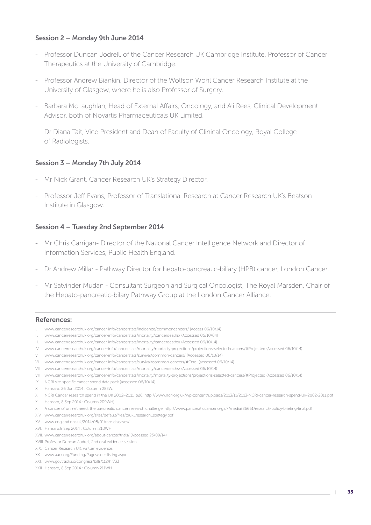#### Session 2 – Monday 9th June 2014

- Professor Duncan Jodrell, of the Cancer Research UK Cambridge Institute, Professor of Cancer Therapeutics at the University of Cambridge.
- Professor Andrew Biankin, Director of the Wolfson Wohl Cancer Research Institute at the University of Glasgow, where he is also Professor of Surgery.
- Barbara McLaughlan, Head of External Affairs, Oncology, and Ali Rees, Clinical Development Advisor, both of Novartis Pharmaceuticals UK Limited.
- Dr Diana Tait, Vice President and Dean of Faculty of Clinical Oncology, Royal College of Radiologists.

#### Session 3 – Monday 7th July 2014

- Mr Nick Grant, Cancer Research UK's Strategy Director,
- Professor Jeff Evans, Professor of Translational Research at Cancer Research UK's Beatson Institute in Glasgow.

#### Session 4 – Tuesday 2nd September 2014

- Mr Chris Carrigan- Director of the National Cancer Intelligence Network and Director of Information Services, Public Health England.
- Dr Andrew Millar Pathway Director for hepato-pancreatic-biliary (HPB) cancer, London Cancer.
- Mr Satvinder Mudan Consultant Surgeon and Surgical Oncologist, The Royal Marsden, Chair of the Hepato-pancreatic-bilary Pathway Group at the London Cancer Alliance.

#### References:

- I. www.cancerresearchuk.org/cancer-info/cancerstats/incidence/commoncancers/ (Access 06/10/14)
- II. www.cancerresearchuk.org/cancer-info/cancerstats/mortality/cancerdeaths/ (Accessed 06/10/04)
- III. www.cancerresearchuk.org/cancer-info/cancerstats/mortality/cancerdeaths/ (Accessed 06/10/14)
- IV. www.cancerresearchuk.org/cancer-info/cancerstats/mortality/mortality-projections/projections-selected-cancers/#Projected (Accessed 06/10/14)
- V. www.cancerresearchuk.org/cancer-info/cancerstats/survival/common-cancers/ (Accessed 06/10/14)
- VI. www.cancerresearchuk.org/cancer-info/cancerstats/survival/common-cancers/#One- (accessed 06/10/14)
- VII. www.cancerresearchuk.org/cancer-info/cancerstats/mortality/cancerdeaths/ (Accessed 06/10/14)
- VIII. www.cancerresearchuk.org/cancer-info/cancerstats/mortality/mortality-projections/projections-selected-cancers/#Projected (Accessed 06/10/14)
- IX. NCRI site-specific cancer spend data pack (accessed 06/10/14)
- X. Hansard, 26 Jun 2014 : Column 282W.
- XI. NCRI Cancer research spend in the UK 2002–2011, p26, http://www.ncri.org.uk/wp-content/uploads/2013/11/2013-NCRI-cancer-research-spend-Uk-2002-2011.pdf
- XII. Hansard, 8 Sep 2014 : Column 209WH).
- XIII. A cancer of unmet need: the pancreatic cancer research challenge. http://www.pancreaticcancer.org.uk/media/86661/research-policy-briefing-final.pdf
- XIV. www.cancerresearchuk.org/sites/default/files/cruk\_research\_strategy.pdf
- XV. www.england.nhs.uk/2014/08/01/rare-diseases/
- XVI. Hansard,8 Sep 2014 : Column 210WH
- XVII. www.cancerresearchuk.org/about-cancer/trials/ (Accessed 23/09/14)
- XVIII. Professor Duncan Jodrell, 2nd oral evidence session.
- XIX. Cancer Research UK, written evidence.
- XX. www.aacr.org/Funding/Pages/sutc-listing.aspx
- XXI. www.govtrack.us/congress/bills/112/hr733
- XXII. Hansard, 8 Sep 2014 : Column 211WH